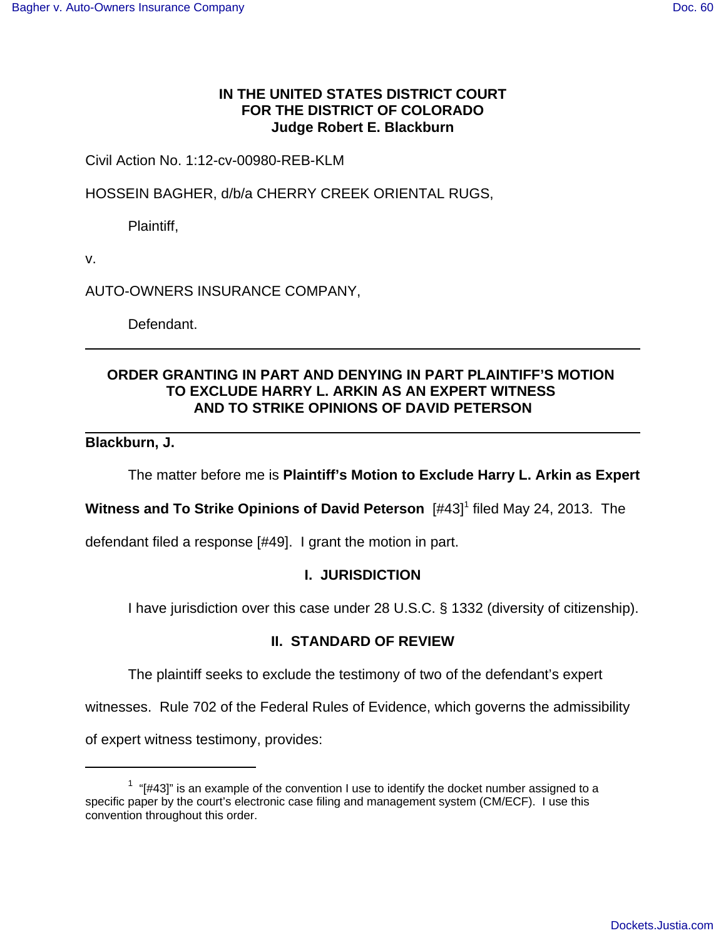### **IN THE UNITED STATES DISTRICT COURT FOR THE DISTRICT OF COLORADO Judge Robert E. Blackburn**

### Civil Action No. 1:12-cv-00980-REB-KLM

HOSSEIN BAGHER, d/b/a CHERRY CREEK ORIENTAL RUGS,

Plaintiff,

v.

AUTO-OWNERS INSURANCE COMPANY,

Defendant.

# **ORDER GRANTING IN PART AND DENYING IN PART PLAINTIFF'S MOTION TO EXCLUDE HARRY L. ARKIN AS AN EXPERT WITNESS AND TO STRIKE OPINIONS OF DAVID PETERSON**

### **Blackburn, J.**

The matter before me is **Plaintiff's Motion to Exclude Harry L. Arkin as Expert**

**Witness and To Strike Opinions of David Peterson** [#43]<sup>1</sup> filed May 24, 2013. The

defendant filed a response [#49]. I grant the motion in part.

### **I. JURISDICTION**

I have jurisdiction over this case under 28 U.S.C. § 1332 (diversity of citizenship).

# **II. STANDARD OF REVIEW**

The plaintiff seeks to exclude the testimony of two of the defendant's expert

witnesses. Rule 702 of the Federal Rules of Evidence, which governs the admissibility

of expert witness testimony, provides:

 $1$  "[#43]" is an example of the convention I use to identify the docket number assigned to a specific paper by the court's electronic case filing and management system (CM/ECF). I use this convention throughout this order.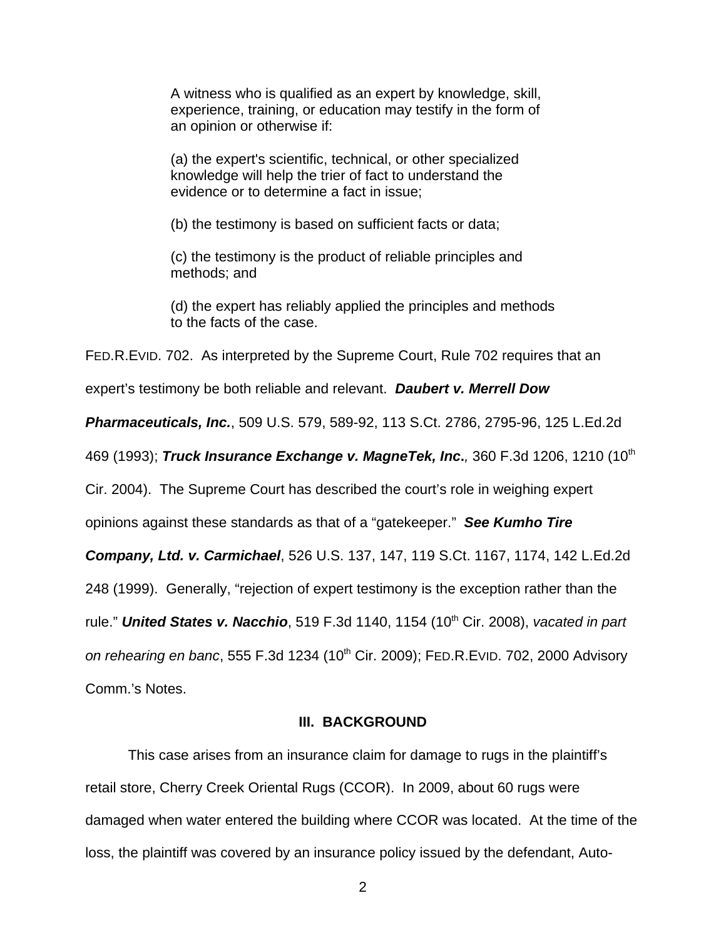A witness who is qualified as an expert by knowledge, skill, experience, training, or education may testify in the form of an opinion or otherwise if:

(a) the expert's scientific, technical, or other specialized knowledge will help the trier of fact to understand the evidence or to determine a fact in issue;

(b) the testimony is based on sufficient facts or data;

(c) the testimony is the product of reliable principles and methods; and

(d) the expert has reliably applied the principles and methods to the facts of the case.

FED.R.EVID. 702. As interpreted by the Supreme Court, Rule 702 requires that an

expert's testimony be both reliable and relevant. **Daubert v. Merrell Dow**

**Pharmaceuticals, Inc.**, 509 U.S. 579, 589-92, 113 S.Ct. 2786, 2795-96, 125 L.Ed.2d

469 (1993); **Truck Insurance Exchange v. MagneTek, Inc.**, 360 F.3d 1206, 1210 (10th

Cir. 2004). The Supreme Court has described the court's role in weighing expert

opinions against these standards as that of a "gatekeeper." **See Kumho Tire**

**Company, Ltd. v. Carmichael**, 526 U.S. 137, 147, 119 S.Ct. 1167, 1174, 142 L.Ed.2d

248 (1999). Generally, "rejection of expert testimony is the exception rather than the

rule." **United States v. Nacchio**, 519 F.3d 1140, 1154 (10<sup>th</sup> Cir. 2008), vacated in part

on rehearing en banc, 555 F.3d 1234 (10<sup>th</sup> Cir. 2009); FED.R.EVID. 702, 2000 Advisory

Comm.'s Notes.

#### **III. BACKGROUND**

This case arises from an insurance claim for damage to rugs in the plaintiff's retail store, Cherry Creek Oriental Rugs (CCOR). In 2009, about 60 rugs were damaged when water entered the building where CCOR was located. At the time of the loss, the plaintiff was covered by an insurance policy issued by the defendant, Auto-

2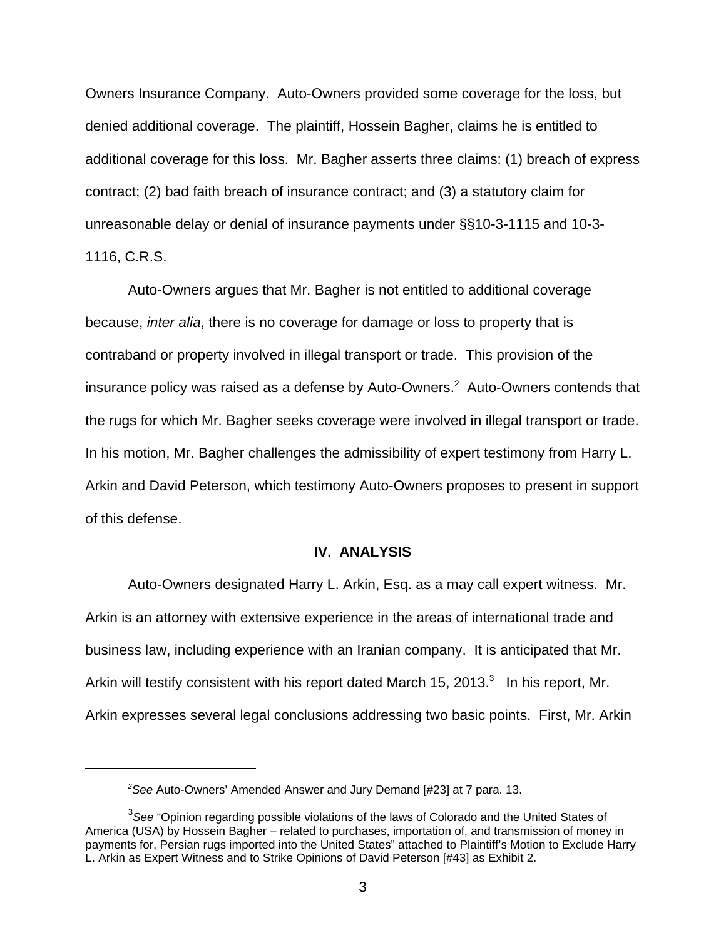Owners Insurance Company. Auto-Owners provided some coverage for the loss, but denied additional coverage. The plaintiff, Hossein Bagher, claims he is entitled to additional coverage for this loss. Mr. Bagher asserts three claims: (1) breach of express contract; (2) bad faith breach of insurance contract; and (3) a statutory claim for unreasonable delay or denial of insurance payments under §§10-3-1115 and 10-3- 1116, C.R.S.

Auto-Owners argues that Mr. Bagher is not entitled to additional coverage because, inter alia, there is no coverage for damage or loss to property that is contraband or property involved in illegal transport or trade. This provision of the insurance policy was raised as a defense by Auto-Owners.<sup>2</sup> Auto-Owners contends that the rugs for which Mr. Bagher seeks coverage were involved in illegal transport or trade. In his motion, Mr. Bagher challenges the admissibility of expert testimony from Harry L. Arkin and David Peterson, which testimony Auto-Owners proposes to present in support of this defense.

### **IV. ANALYSIS**

Auto-Owners designated Harry L. Arkin, Esq. as a may call expert witness. Mr. Arkin is an attorney with extensive experience in the areas of international trade and business law, including experience with an Iranian company. It is anticipated that Mr. Arkin will testify consistent with his report dated March 15, 2013. $^3$  In his report, Mr. Arkin expresses several legal conclusions addressing two basic points. First, Mr. Arkin

<sup>&</sup>lt;sup>2</sup>See Auto-Owners' Amended Answer and Jury Demand [#23] at 7 para. 13.

 ${}^{3}$ See "Opinion regarding possible violations of the laws of Colorado and the United States of America (USA) by Hossein Bagher – related to purchases, importation of, and transmission of money in payments for, Persian rugs imported into the United States" attached to Plaintiff's Motion to Exclude Harry L. Arkin as Expert Witness and to Strike Opinions of David Peterson [#43] as Exhibit 2.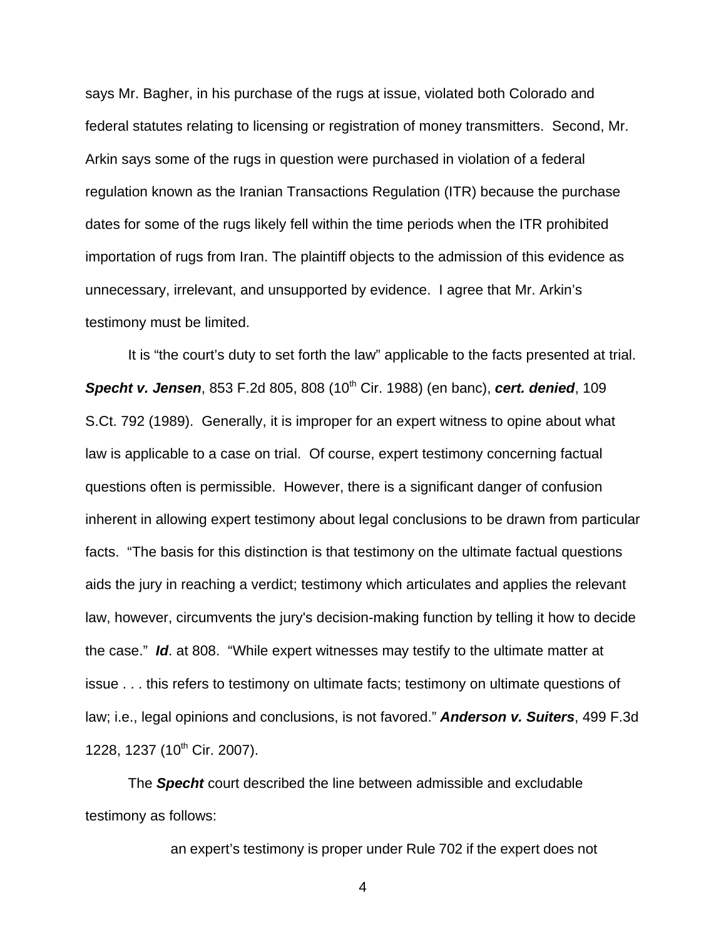says Mr. Bagher, in his purchase of the rugs at issue, violated both Colorado and federal statutes relating to licensing or registration of money transmitters. Second, Mr. Arkin says some of the rugs in question were purchased in violation of a federal regulation known as the Iranian Transactions Regulation (ITR) because the purchase dates for some of the rugs likely fell within the time periods when the ITR prohibited importation of rugs from Iran. The plaintiff objects to the admission of this evidence as unnecessary, irrelevant, and unsupported by evidence. I agree that Mr. Arkin's testimony must be limited.

It is "the court's duty to set forth the law" applicable to the facts presented at trial. **Specht v. Jensen**, 853 F.2d 805, 808 (10<sup>th</sup> Cir. 1988) (en banc), cert. denied, 109 S.Ct. 792 (1989). Generally, it is improper for an expert witness to opine about what law is applicable to a case on trial. Of course, expert testimony concerning factual questions often is permissible. However, there is a significant danger of confusion inherent in allowing expert testimony about legal conclusions to be drawn from particular facts. "The basis for this distinction is that testimony on the ultimate factual questions aids the jury in reaching a verdict; testimony which articulates and applies the relevant law, however, circumvents the jury's decision-making function by telling it how to decide the case." **Id**. at 808. "While expert witnesses may testify to the ultimate matter at issue . . . this refers to testimony on ultimate facts; testimony on ultimate questions of law; i.e., legal opinions and conclusions, is not favored." **Anderson v. Suiters**, 499 F.3d 1228, 1237 (10<sup>th</sup> Cir. 2007).

The **Specht** court described the line between admissible and excludable testimony as follows:

an expert's testimony is proper under Rule 702 if the expert does not

4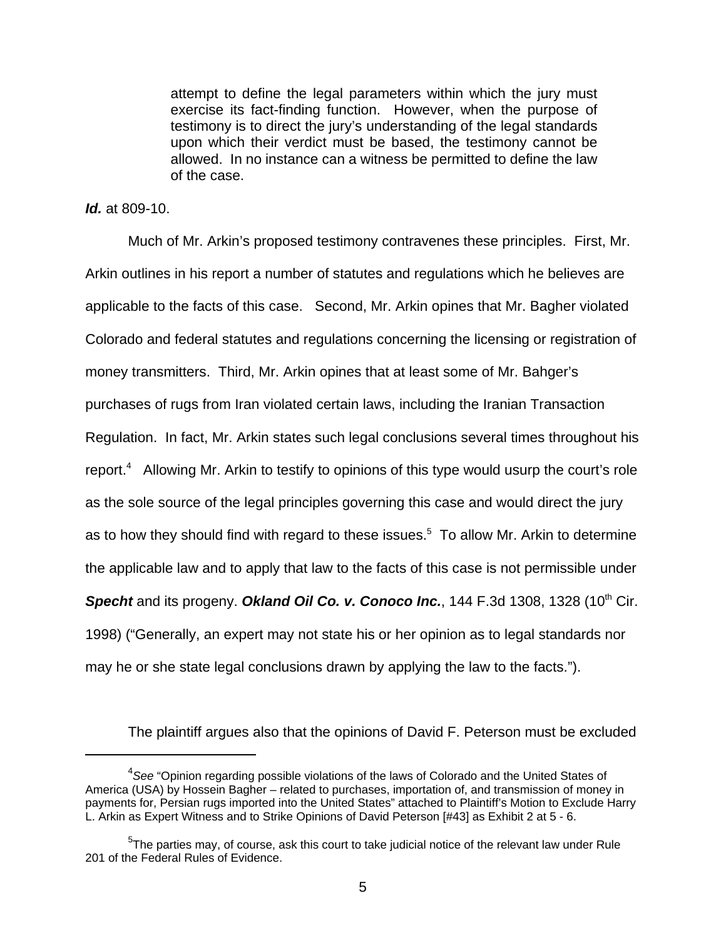attempt to define the legal parameters within which the jury must exercise its fact-finding function. However, when the purpose of testimony is to direct the jury's understanding of the legal standards upon which their verdict must be based, the testimony cannot be allowed. In no instance can a witness be permitted to define the law of the case.

### **Id.** at 809-10.

Much of Mr. Arkin's proposed testimony contravenes these principles. First, Mr. Arkin outlines in his report a number of statutes and regulations which he believes are applicable to the facts of this case. Second, Mr. Arkin opines that Mr. Bagher violated Colorado and federal statutes and regulations concerning the licensing or registration of money transmitters. Third, Mr. Arkin opines that at least some of Mr. Bahger's purchases of rugs from Iran violated certain laws, including the Iranian Transaction Regulation. In fact, Mr. Arkin states such legal conclusions several times throughout his report.<sup>4</sup> Allowing Mr. Arkin to testify to opinions of this type would usurp the court's role as the sole source of the legal principles governing this case and would direct the jury as to how they should find with regard to these issues.<sup>5</sup> To allow Mr. Arkin to determine the applicable law and to apply that law to the facts of this case is not permissible under **Specht** and its progeny. Okland Oil Co. v. Conoco Inc., 144 F.3d 1308, 1328 (10<sup>th</sup> Cir. 1998) ("Generally, an expert may not state his or her opinion as to legal standards nor may he or she state legal conclusions drawn by applying the law to the facts.").

The plaintiff argues also that the opinions of David F. Peterson must be excluded

 ${}^{4}$ See "Opinion regarding possible violations of the laws of Colorado and the United States of America (USA) by Hossein Bagher – related to purchases, importation of, and transmission of money in payments for, Persian rugs imported into the United States" attached to Plaintiff's Motion to Exclude Harry L. Arkin as Expert Witness and to Strike Opinions of David Peterson [#43] as Exhibit 2 at 5 - 6.

 $5$ The parties may, of course, ask this court to take judicial notice of the relevant law under Rule 201 of the Federal Rules of Evidence.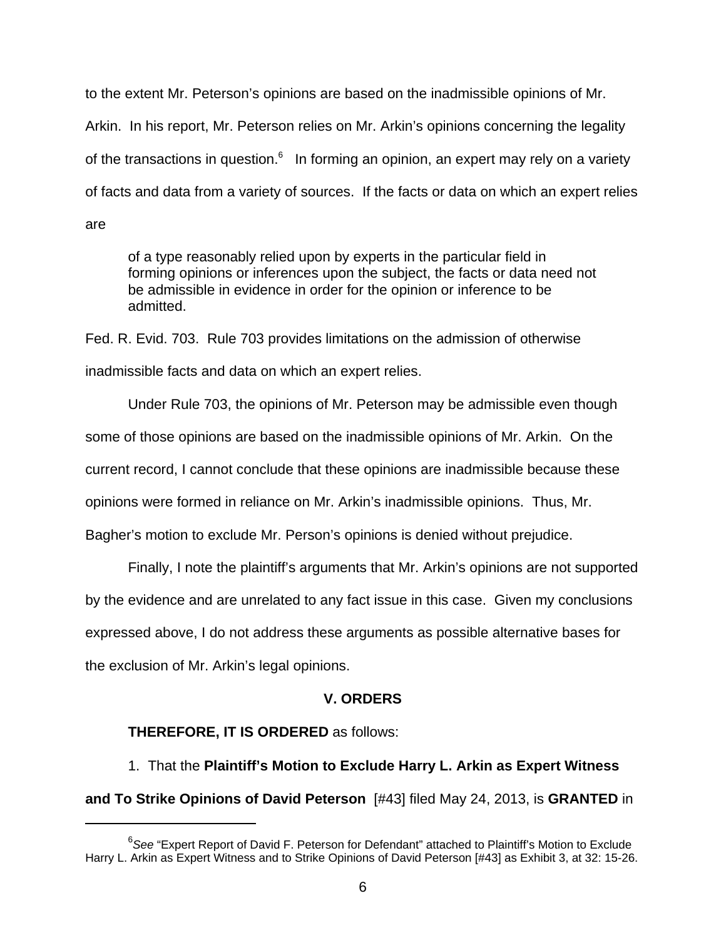to the extent Mr. Peterson's opinions are based on the inadmissible opinions of Mr. Arkin. In his report, Mr. Peterson relies on Mr. Arkin's opinions concerning the legality of the transactions in question.<sup>6</sup> In forming an opinion, an expert may rely on a variety of facts and data from a variety of sources. If the facts or data on which an expert relies are

of a type reasonably relied upon by experts in the particular field in forming opinions or inferences upon the subject, the facts or data need not be admissible in evidence in order for the opinion or inference to be admitted.

Fed. R. Evid. 703. Rule 703 provides limitations on the admission of otherwise inadmissible facts and data on which an expert relies.

Under Rule 703, the opinions of Mr. Peterson may be admissible even though some of those opinions are based on the inadmissible opinions of Mr. Arkin. On the current record, I cannot conclude that these opinions are inadmissible because these opinions were formed in reliance on Mr. Arkin's inadmissible opinions. Thus, Mr. Bagher's motion to exclude Mr. Person's opinions is denied without prejudice.

Finally, I note the plaintiff's arguments that Mr. Arkin's opinions are not supported

by the evidence and are unrelated to any fact issue in this case. Given my conclusions

expressed above, I do not address these arguments as possible alternative bases for

the exclusion of Mr. Arkin's legal opinions.

# **V. ORDERS**

# **THEREFORE, IT IS ORDERED** as follows:

1. That the **Plaintiff's Motion to Exclude Harry L. Arkin as Expert Witness and To Strike Opinions of David Peterson** [#43] filed May 24, 2013, is **GRANTED** in

 $^6$ See "Expert Report of David F. Peterson for Defendant" attached to Plaintiff's Motion to Exclude Harry L. Arkin as Expert Witness and to Strike Opinions of David Peterson [#43] as Exhibit 3, at 32: 15-26.